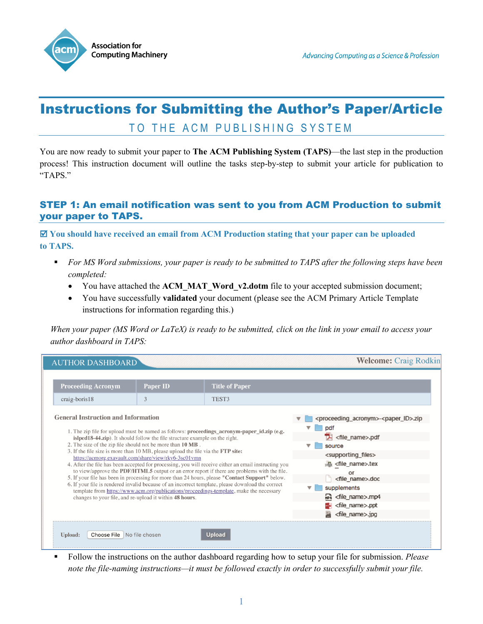

# Instructions for Submitting the Author's Paper/Article TO THE ACM PUBLISHING SYSTEM

You are now ready to submit your paper to **The ACM Publishing System (TAPS)**—the last step in the production process! This instruction document will outline the tasks step-by-step to submit your article for publication to "TAPS."

# STEP 1: An email notification was sent to you from ACM Production to submit your paper to TAPS.

 **You should have received an email from ACM Production stating that your paper can be uploaded to TAPS.**

- *For MS Word submissions, your paper is ready to be submitted to TAPS after the following steps have been completed:*
	- You have attached the **ACM\_MAT\_Word\_v2.dotm** file to your accepted submission document;
	- You have successfully **validated** your document (please see the ACM Primary Article Template instructions for information regarding this.)

*When your paper (MS Word or LaTeX) is ready to be submitted, click on the link in your email to access your author dashboard in TAPS:* 

| <b>AUTHOR DASHBOARD</b>                                                                                                                                                                                                                                                                                                                                                                                                                                                                                                                                                                                                                                                                                                                                                                                                                                                                                                                                   |                 |                       |  | <b>Welcome: Craig Rodkin</b>                                        |
|-----------------------------------------------------------------------------------------------------------------------------------------------------------------------------------------------------------------------------------------------------------------------------------------------------------------------------------------------------------------------------------------------------------------------------------------------------------------------------------------------------------------------------------------------------------------------------------------------------------------------------------------------------------------------------------------------------------------------------------------------------------------------------------------------------------------------------------------------------------------------------------------------------------------------------------------------------------|-----------------|-----------------------|--|---------------------------------------------------------------------|
|                                                                                                                                                                                                                                                                                                                                                                                                                                                                                                                                                                                                                                                                                                                                                                                                                                                                                                                                                           |                 |                       |  |                                                                     |
| <b>Proceeding Acronym</b>                                                                                                                                                                                                                                                                                                                                                                                                                                                                                                                                                                                                                                                                                                                                                                                                                                                                                                                                 | <b>Paper ID</b> | <b>Title of Paper</b> |  |                                                                     |
| $craiq-boris18$                                                                                                                                                                                                                                                                                                                                                                                                                                                                                                                                                                                                                                                                                                                                                                                                                                                                                                                                           | 3               | TEST3                 |  |                                                                     |
| <b>General Instruction and Information</b>                                                                                                                                                                                                                                                                                                                                                                                                                                                                                                                                                                                                                                                                                                                                                                                                                                                                                                                |                 |                       |  |                                                                     |
| 1. The zip file for upload must be named as follows: proceedings_acronym-paper_id.zip (e.g.<br>islped18-44.zip). It should follow the file structure example on the right.<br>2. The size of the zip file should not be more than 10 MB.<br>3. If the file size is more than 10 MB, please upload the file via the FTP site:<br>https://acmorg.exavault.com/share/view/rky6-3sc01vmn<br>4. After the file has been accepted for processing, you will receive either an email instructing you<br>to view/approve the PDF/HTML5 output or an error report if there are problems with the file.<br>5. If your file has been in processing for more than 24 hours, please "Contact Support" below.<br>6. If your file is rendered invalid because of an incorrect template, please download the correct<br>template from https://www.acm.org/publications/proceedings-template, make the necessary<br>changes to your file, and re-upload it within 48 hours. |                 |                       |  | <proceeding_acronym>-<paper_id>.zip</paper_id></proceeding_acronym> |
|                                                                                                                                                                                                                                                                                                                                                                                                                                                                                                                                                                                                                                                                                                                                                                                                                                                                                                                                                           |                 |                       |  | pdf                                                                 |
|                                                                                                                                                                                                                                                                                                                                                                                                                                                                                                                                                                                                                                                                                                                                                                                                                                                                                                                                                           |                 |                       |  | <file_name>.pdf</file_name>                                         |
|                                                                                                                                                                                                                                                                                                                                                                                                                                                                                                                                                                                                                                                                                                                                                                                                                                                                                                                                                           |                 |                       |  | source                                                              |
|                                                                                                                                                                                                                                                                                                                                                                                                                                                                                                                                                                                                                                                                                                                                                                                                                                                                                                                                                           |                 |                       |  | <supporting_files></supporting_files>                               |
|                                                                                                                                                                                                                                                                                                                                                                                                                                                                                                                                                                                                                                                                                                                                                                                                                                                                                                                                                           |                 |                       |  | 撮 <file_name>.tex</file_name>                                       |
|                                                                                                                                                                                                                                                                                                                                                                                                                                                                                                                                                                                                                                                                                                                                                                                                                                                                                                                                                           |                 |                       |  | or<br><file_name>.doc</file_name>                                   |
|                                                                                                                                                                                                                                                                                                                                                                                                                                                                                                                                                                                                                                                                                                                                                                                                                                                                                                                                                           |                 |                       |  | supplements                                                         |
|                                                                                                                                                                                                                                                                                                                                                                                                                                                                                                                                                                                                                                                                                                                                                                                                                                                                                                                                                           |                 |                       |  | hp4 <file_name>.mp4</file_name>                                     |
|                                                                                                                                                                                                                                                                                                                                                                                                                                                                                                                                                                                                                                                                                                                                                                                                                                                                                                                                                           |                 |                       |  | <file_name>.ppt</file_name>                                         |
|                                                                                                                                                                                                                                                                                                                                                                                                                                                                                                                                                                                                                                                                                                                                                                                                                                                                                                                                                           |                 |                       |  | <file name="">.jpg</file>                                           |
| Choose File No file chosen<br><b>Upload:</b>                                                                                                                                                                                                                                                                                                                                                                                                                                                                                                                                                                                                                                                                                                                                                                                                                                                                                                              |                 | <b>Upload</b>         |  |                                                                     |
|                                                                                                                                                                                                                                                                                                                                                                                                                                                                                                                                                                                                                                                                                                                                                                                                                                                                                                                                                           |                 |                       |  |                                                                     |

 Follow the instructions on the author dashboard regarding how to setup your file for submission. *Please note the file-naming instructions—it must be followed exactly in order to successfully submit your file.*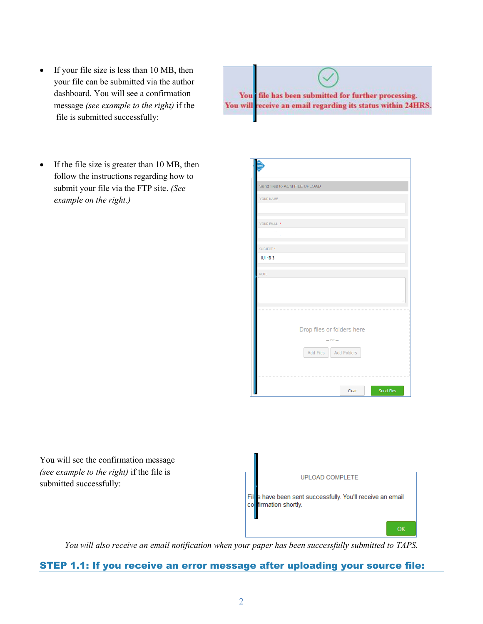2

- If your file size is less than 10 MB, then your file can be submitted via the author dashboard. You will see a confirmation message *(see example to the right)* if the file is submitted successfully:
- If the file size is greater than 10 MB, then follow the instructions regarding how to submit your file via the FTP site. *(See example on the right.)*
- 







*You will also receive an email notification when your paper has been successfully submitted to TAPS.*

## STEP 1.1: If you receive an error message after uploading your source file: